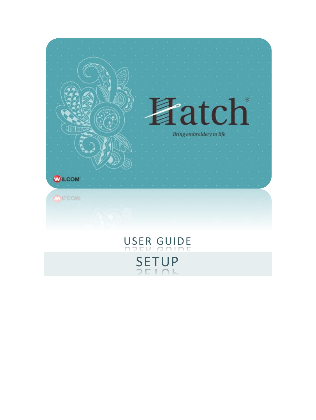



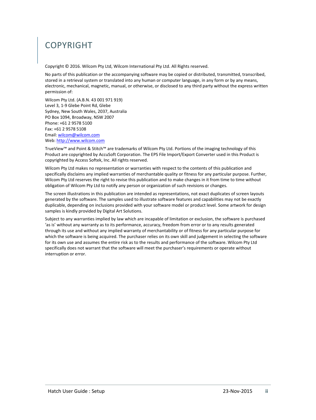### **COPYRIGHT**

Copyright © 2016. Wilcom Pty Ltd, Wilcom International Pty Ltd. All Rights reserved.

No parts of this publication or the accompanying software may be copied or distributed, transmitted, transcribed, stored in a retrieval system or translated into any human or computer language, in any form or by any means, electronic, mechanical, magnetic, manual, or otherwise, or disclosed to any third party without the express written permission of:

Wilcom Pty Ltd. (A.B.N. 43 001 971 919) Level 3, 1-9 Glebe Point Rd, Glebe Sydney, New South Wales, 2037, Australia PO Box 1094, Broadway, NSW 2007 Phone: +61 2 9578 5100 Fax: +61 2 9578 5108 Email[: wilcom@wilcom.com](mailto:wilcom@wilcom.com) Web[: http://www.wilcom.com](http://www.wilcom.com/)

TrueView™ and Point & Stitch™ are trademarks of Wilcom Pty Ltd. Portions of the imaging technology of this Product are copyrighted by AccuSoft Corporation. The EPS File Import/Export Converter used in this Product is copyrighted by Access Softek, Inc. All rights reserved.

Wilcom Pty Ltd makes no representation or warranties with respect to the contents of this publication and specifically disclaims any implied warranties of merchantable quality or fitness for any particular purpose. Further, Wilcom Pty Ltd reserves the right to revise this publication and to make changes in it from time to time without obligation of Wilcom Pty Ltd to notify any person or organization of such revisions or changes.

The screen illustrations in this publication are intended as representations, not exact duplicates of screen layouts generated by the software. The samples used to illustrate software features and capabilities may not be exactly duplicable, depending on inclusions provided with your software model or product level. Some artwork for design samples is kindly provided by Digital Art Solutions.

Subject to any warranties implied by law which are incapable of limitation or exclusion, the software is purchased 'as is' without any warranty as to its performance, accuracy, freedom from error or to any results generated through its use and without any implied warranty of merchantability or of fitness for any particular purpose for which the software is being acquired. The purchaser relies on its own skill and judgement in selecting the software for its own use and assumes the entire risk as to the results and performance of the software. Wilcom Pty Ltd specifically does not warrant that the software will meet the purchaser's requirements or operate without interruption or error.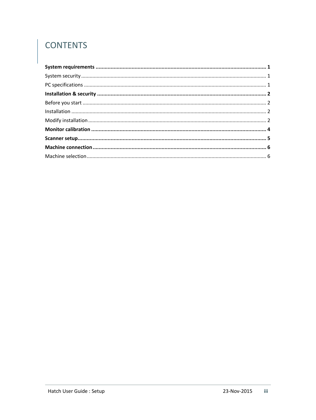## **CONTENTS**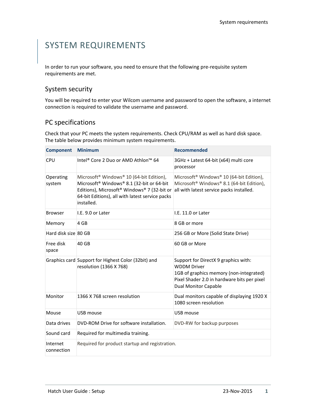# <span id="page-3-0"></span>SYSTEM REQUIREMENTS

In order to run your software, you need to ensure that the following pre-requisite system requirements are met.

### <span id="page-3-1"></span>System security

You will be required to enter your Wilcom username and password to open the software, a internet connection is required to validate the username and password.

### <span id="page-3-2"></span>PC specifications

Check that your PC meets the system requirements. Check CPU/RAM as well as hard disk space. The table below provides minimum system requirements.

| <b>Component</b>       | <b>Minimum</b>                                                                                                                                                                                                                            | <b>Recommended</b>                                                                                                                                                                  |
|------------------------|-------------------------------------------------------------------------------------------------------------------------------------------------------------------------------------------------------------------------------------------|-------------------------------------------------------------------------------------------------------------------------------------------------------------------------------------|
| CPU                    | Intel® Core 2 Duo or AMD Athlon™ 64                                                                                                                                                                                                       | 3GHz + Latest 64-bit (x64) multi core<br>processor                                                                                                                                  |
| Operating<br>system    | Microsoft <sup>®</sup> Windows <sup>®</sup> 10 (64-bit Edition),<br>Microsoft® Windows® 8.1 (32-bit or 64-bit<br>Editions), Microsoft <sup>®</sup> Windows® 7 (32-bit or<br>64-bit Editions), all with latest service packs<br>installed. | Microsoft <sup>®</sup> Windows <sup>®</sup> 10 (64-bit Edition),<br>Microsoft <sup>®</sup> Windows® 8.1 (64-bit Edition),<br>all with latest service packs installed.               |
| <b>Browser</b>         | I.E. 9.0 or Later                                                                                                                                                                                                                         | I.E. 11.0 or Later                                                                                                                                                                  |
| Memory                 | 4 GB                                                                                                                                                                                                                                      | 8 GB or more                                                                                                                                                                        |
| Hard disk size 80 GB   |                                                                                                                                                                                                                                           | 256 GB or More (Solid State Drive)                                                                                                                                                  |
| Free disk<br>space     | 40 GB                                                                                                                                                                                                                                     | 60 GB or More                                                                                                                                                                       |
|                        | Graphics card Support for Highest Color (32bit) and<br>resolution (1366 X 768)                                                                                                                                                            | Support for DirectX 9 graphics with:<br><b>WDDM Driver</b><br>1GB of graphics memory (non-integrated)<br>Pixel Shader 2.0 in hardware bits per pixel<br><b>Dual Monitor Capable</b> |
| Monitor                | 1366 X 768 screen resolution                                                                                                                                                                                                              | Dual monitors capable of displaying 1920 X<br>1080 screen resolution                                                                                                                |
| Mouse                  | USB mouse                                                                                                                                                                                                                                 | USB mouse                                                                                                                                                                           |
| Data drives            | DVD-ROM Drive for software installation.                                                                                                                                                                                                  | DVD-RW for backup purposes                                                                                                                                                          |
| Sound card             | Required for multimedia training.                                                                                                                                                                                                         |                                                                                                                                                                                     |
| Internet<br>connection | Required for product startup and registration.                                                                                                                                                                                            |                                                                                                                                                                                     |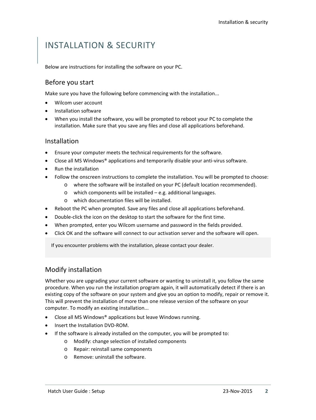# <span id="page-4-0"></span>INSTALLATION & SECURITY

Below are instructions for installing the software on your PC.

#### <span id="page-4-1"></span>Before you start

Make sure you have the following before commencing with the installation...

- Wilcom user account
- Installation software
- When you install the software, you will be prompted to reboot your PC to complete the installation. Make sure that you save any files and close all applications beforehand.

#### <span id="page-4-2"></span>Installation

- Ensure your computer meets the technical requirements for the software.
- Close all MS Windows® applications and temporarily disable your anti-virus software.
- Run the installation
- Follow the onscreen instructions to complete the installation. You will be prompted to choose:
	- o where the software will be installed on your PC (default location recommended).
	- o which components will be installed e.g. additional languages.
	- o which documentation files will be installed.
- Reboot the PC when prompted. Save any files and close all applications beforehand.
- Double-click the icon on the desktop to start the software for the first time.
- When prompted, enter you Wilcom username and password in the fields provided.
- Click OK and the software will connect to our activation server and the software will open.

If you encounter problems with the installation, please contact your dealer.

### <span id="page-4-3"></span>Modify installation

Whether you are upgrading your current software or wanting to uninstall it, you follow the same procedure. When you run the installation program again, it will automatically detect if there is an existing copy of the software on your system and give you an option to modify, repair or remove it. This will prevent the installation of more than one release version of the software on your computer. To modify an existing installation...

- Close all MS Windows® applications but leave Windows running.
- Insert the Installation DVD-ROM.
- If the software is already installed on the computer, you will be prompted to:
	- o Modify: change selection of installed components
	- o Repair: reinstall same components
	- o Remove: uninstall the software.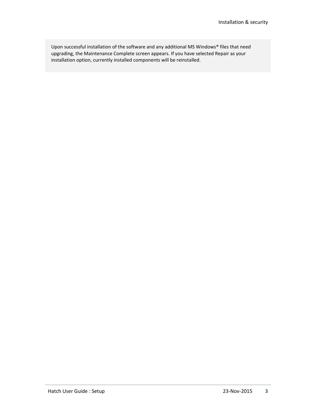Upon successful installation of the software and any additional MS Windows® files that need upgrading, the Maintenance Complete screen appears. If you have selected Repair as your installation option, currently installed components will be reinstalled.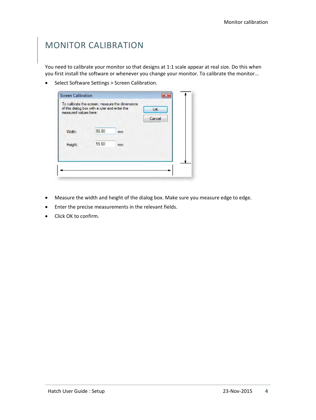## <span id="page-6-0"></span>MONITOR CALIBRATION

You need to calibrate your monitor so that designs at 1:1 scale appear at real size. Do this when you first install the software or whenever you change your monitor. To calibrate the monitor...

• Select Software Settings > Screen Calibration.

| measured values here: |       |    | <b>OK</b><br>Cancel |
|-----------------------|-------|----|---------------------|
| Width:                | 90.80 | mm |                     |
| Height:               | 55.60 | mm |                     |
|                       |       |    |                     |

- Measure the width and height of the dialog box. Make sure you measure edge to edge.
- Enter the precise measurements in the relevant fields.
- Click OK to confirm.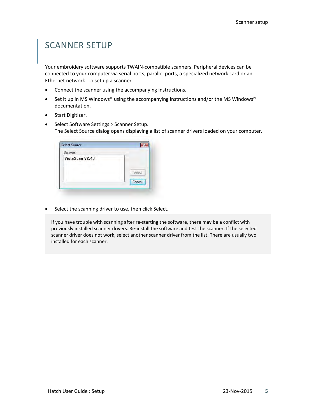### <span id="page-7-0"></span>SCANNER SETUP

Your embroidery software supports TWAIN-compatible scanners. Peripheral devices can be connected to your computer via serial ports, parallel ports, a specialized network card or an Ethernet network. To set up a scanner...

- Connect the scanner using the accompanying instructions.
- **•** Set it up in MS Windows® using the accompanying instructions and/or the MS Windows® documentation.
- Start Digitizer.
- Select Software Settings > Scanner Setup. The Select Source dialog opens displaying a list of scanner drivers loaded on your computer.

| Sources:        |        |
|-----------------|--------|
| VistaScan V2.40 |        |
|                 | Select |
|                 | Cancel |

• Select the scanning driver to use, then click Select.

If you have trouble with scanning after re-starting the software, there may be a conflict with previously installed scanner drivers. Re-install the software and test the scanner. If the selected scanner driver does not work, select another scanner driver from the list. There are usually two installed for each scanner.